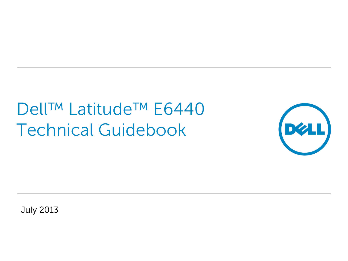# Dell™ Latitude™ E6440 Technical Guidebook



July 2013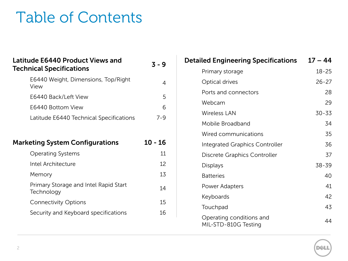### Table of Contents

| <b>Latitude E6440 Product Views and</b><br><b>Technical Specifications</b> | $3 - 9$   |
|----------------------------------------------------------------------------|-----------|
| E6440 Weight, Dimensions, Top/Right<br>View                                | 4         |
| E6440 Back/Left View                                                       | 5         |
| E6440 Bottom View                                                          | 6         |
| Latitude E6440 Technical Specifications                                    | $7 - 9$   |
|                                                                            |           |
|                                                                            |           |
| <b>Marketing System Configurations</b>                                     | $10 - 16$ |
| <b>Operating Systems</b>                                                   | 11        |
| Intel Architecture                                                         | 12        |
| Memory                                                                     | 13        |
| Primary Storage and Intel Rapid Start<br>Technology                        | 14        |
| <b>Connectivity Options</b>                                                | 15        |

| <b>Detailed Engineering Specifications</b>       | $17 - 44$ |
|--------------------------------------------------|-----------|
| Primary storage                                  | $18 - 25$ |
| Optical drives                                   | $26 - 27$ |
| Ports and connectors                             | 28        |
| Webcam                                           | 29        |
| <b>Wireless LAN</b>                              | $30 - 33$ |
| Mobile Broadband                                 | 34        |
| Wired communications                             | 35        |
| Integrated Graphics Controller                   | 36        |
| Discrete Graphics Controller                     | 37        |
| Displays                                         | 38-39     |
| <b>Batteries</b>                                 | 40        |
| Power Adapters                                   | 41        |
| Keyboards                                        | 42        |
| Touchpad                                         | 43        |
| Operating conditions and<br>MIL-STD-810G Testing | 44        |

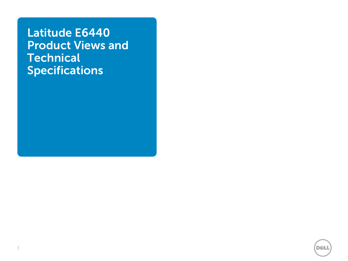**Latitude E6440 Product Views and Technical Specifications**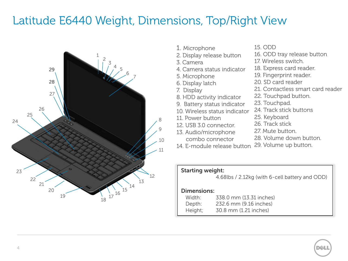#### Latitude E6440 Weight, Dimensions, Top/Right View



- 1. Microphone
- 2. Display release button
- 3. Camera
- 4. Camera status indicator
- 5. Microphone
- 6. Display latch
- 7. Display
- 8. HDD activity indicator
- 9. Battery status indicator
- 10. Wireless status indicator
- 11. Power button
- 12. USB 3.0 connector.
- 13. Audio/microphone combo connector
- 15. ODD
- 16. ODD tray release button
- 17. Wireless switch.
- 18. Express card reader.
- 19. Fingerprint reader.
- 20. SD card reader
- 21. Contactless smart card reader
- 22. Touchpad button.
- 23. Touchpad.
- 24. Track stick buttons
- 25. Keyboard
- 26. Track stick
- 27. Mute button.
- 28. Volume down button.
- 14. E-module release button 29. Volume up button.

#### **Starting weight:**

4.68lbs / 2.12kg (with 6-cell battery and ODD)

#### **Dimensions:**

| Width:  | 338.0 mm (13.31 inches) |
|---------|-------------------------|
| Depth:  | 232.6 mm (9.16 inches)  |
| Height; | 30.8 mm (1.21 inches)   |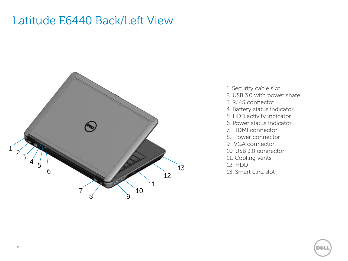#### Latitude E6440 Back/Left View



- 1. Security cable slot
- 2. USB 3.0 with power share.
- 3. RJ45 connector.
- 4. Battery status indicator.
- 5. HDD activity indicator.
- 6. Power status indicator
- 7. HDMI connector
- 8. Power connector
- 9. VGA connector
- 10. USB 3.0 connector
- 11. Cooling vents
- 12. HDD
- 13. Smart card slot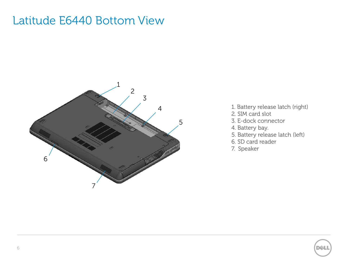#### Latitude E6440 Bottom View



- 1. Battery release latch (right)
- 2. SIM card slot
- 3. E-dock connector
- 4. Battery bay.
- 5. Battery release latch (left)
- 6. SD card reader
- 7. Speaker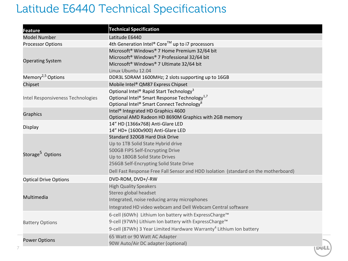#### Latitude E6440 Technical Specifications

| Feature                           | <b>Technical Specification</b>                                                      |              |
|-----------------------------------|-------------------------------------------------------------------------------------|--------------|
| <b>Model Number</b>               | Latitude E6440                                                                      |              |
| <b>Processor Options</b>          | 4th Generation Intel® Core™ up to i7 processors                                     |              |
|                                   | Microsoft <sup>®</sup> Windows <sup>®</sup> 7 Home Premium 32/64 bit                |              |
|                                   | Microsoft <sup>®</sup> Windows <sup>®</sup> 7 Professional 32/64 bit                |              |
| <b>Operating System</b>           | Microsoft <sup>®</sup> Windows <sup>®</sup> 7 Ultimate 32/64 bit                    |              |
|                                   | Linux Ubuntu 12.04                                                                  |              |
| Memory <sup>2,5</sup> Options     | DDR3L SDRAM 1600MHz; 2 slots supporting up to 16GB                                  |              |
| Chipset                           | Mobile Intel® QM87 Express Chipset                                                  |              |
|                                   | Optional Intel <sup>®</sup> Rapid Start Technology <sup>3</sup>                     |              |
| Intel Responsiveness Technologies | Optional Intel® Smart Response Technology <sup>1,7</sup>                            |              |
|                                   | Optional Intel® Smart Connect Technology <sup>8</sup>                               |              |
| <b>Graphics</b>                   | Intel <sup>®</sup> Integrated HD Graphics 4600                                      |              |
|                                   | Optional AMD Radeon HD 8690M Graphics with 2GB memory                               |              |
| <b>Display</b>                    | 14" HD (1366x768) Anti-Glare LED                                                    |              |
|                                   | 14" HD+ (1600x900) Anti-Glare LED                                                   |              |
|                                   | Standard 320GB Hard Disk Drive                                                      |              |
|                                   | Up to 1TB Solid State Hybrid drive                                                  |              |
| Storage <sup>5</sup> Options      | 500GB FIPS Self-Encrypting Drive                                                    |              |
|                                   | Up to 180GB Solid State Drives                                                      |              |
|                                   | 256GB Self-Encrypting Solid State Drive                                             |              |
|                                   | Dell Fast Response Free Fall Sensor and HDD Isolation (standard on the motherboard) |              |
| <b>Optical Drive Options</b>      | DVD-ROM, DVD+/-RW                                                                   |              |
|                                   | <b>High Quality Speakers</b>                                                        |              |
| Multimedia                        | Stereo global headset                                                               |              |
|                                   | Integrated, noise reducing array microphones                                        |              |
|                                   | Integrated HD video webcam and Dell Webcam Central software                         |              |
| <b>Battery Options</b>            | 6-cell (60Wh) Lithium Ion battery with ExpressCharge™                               |              |
|                                   | 9-cell (97Wh) Lithium Ion battery with ExpressCharge™                               |              |
|                                   | 9-cell (87Wh) 3 Year Limited Hardware Warranty <sup>4</sup> Lithium Ion battery     |              |
|                                   | 65 Watt or 90 Watt AC Adapter                                                       |              |
| <b>Power Options</b>              | 90W Auto/Air DC adapter (optional)                                                  |              |
|                                   |                                                                                     | <b>TDØLL</b> |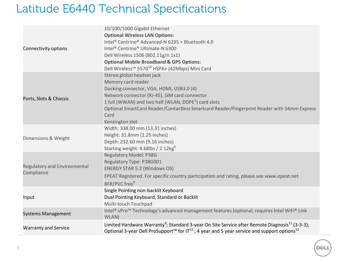#### Latitude E6440 Technical Specifications

|                              | 10/100/1000 Gigabit Ethernet                                                                                                    |
|------------------------------|---------------------------------------------------------------------------------------------------------------------------------|
|                              | <b>Optional Wireless LAN Options:</b>                                                                                           |
|                              | Intel® Centrino® Advanced-N 6235 + Bluetooth 4.0                                                                                |
| Connectivity options         | Intel <sup>®</sup> Centrino <sup>®</sup> Ultimate-N 6300                                                                        |
|                              | Dell Wireless 1506 (802.11g/n 1x1)                                                                                              |
|                              | <b>Optional Mobile Broadband &amp; GPS Options:</b>                                                                             |
|                              | Dell Wireless <sup>™</sup> 5570 <sup>10</sup> HSPA+ (42Mbps) Mini Card                                                          |
|                              | Stereo global headset jack                                                                                                      |
|                              | Memory card reader                                                                                                              |
|                              | Docking connector, VGA, HDMI, USB3.0 (4)                                                                                        |
|                              | Network connector (RJ-45), SIM card connector                                                                                   |
| Ports, Slots & Chassis       | 1 full (WWAN) and two half (WLAN, DDPE <sup>1</sup> ) card slots                                                                |
|                              | Optional SmartCard Reader/Contactless Smartcard Reader/Fingerprint Reader with 34mm Express                                     |
|                              | Card                                                                                                                            |
|                              | Kensington slot                                                                                                                 |
|                              | Width: 338.00 mm (13.31 inches)                                                                                                 |
| Dimensions & Weight          | Height: 31.8mm (1.25 inches)                                                                                                    |
|                              | Depth: 232.60 mm (9.16 inches)                                                                                                  |
|                              | Starting weight: 4.68lbs / 2.12kg <sup>6</sup>                                                                                  |
|                              | <b>Regulatory Model: P38G</b>                                                                                                   |
|                              | Regulatory Type: P38G001                                                                                                        |
| Regulatory and Environmental | <b>ENERGY STAR 5.2 (Windows OS)</b>                                                                                             |
| Compliance                   | EPEAT Registered. For specific country participation and rating, please see www.epeat.net                                       |
|                              | BFR/PVC free <sup>9</sup>                                                                                                       |
|                              | Single Pointing non-backlit Keyboard                                                                                            |
| Input                        | Dual Pointing Keyboard, Standard or Backlit                                                                                     |
|                              | Multi-touch Touchpad                                                                                                            |
|                              | Intel® vPro <sup>™</sup> Technology's advanced management features (optional, requires Intel WiFi® Link                         |
| <b>Systems Management</b>    | WLAN)                                                                                                                           |
|                              | Limited Hardware Warranty <sup>4</sup> ; Standard 3-year On Site Service after Remote Diagnosis <sup>11</sup> (3-3-3);          |
| <b>Warranty and Service</b>  | Optional 3-year Dell ProSupport <sup>™</sup> for IT <sup>12</sup> ; 4 year and 5 year service and support options <sup>12</sup> |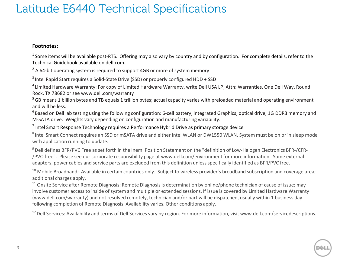#### Latitude E6440 Technical Specifications

#### **Footnotes:**

 $1$  Some items will be available post-RTS. Offering may also vary by country and by configuration. For complete details, refer to the Technical Guidebook available on dell.com.

 $2$  A 64-bit operating system is required to support 4GB or more of system memory

 $3$  Intel Rapid Start requires a Solid-State Drive (SSD) or properly configured HDD + SSD

<sup>4</sup> Limited Hardware Warranty: For copy of Limited Hardware Warranty, write Dell USA LP, Attn: Warranties, One Dell Way, Round Rock, TX 78682 or see www.dell.com/warranty

<sup>5</sup> GB means 1 billion bytes and TB equals 1 trillion bytes; actual capacity varies with preloaded material and operating environment and will be less.

<sup>6</sup> Based on Dell lab testing using the following configuration: 6-cell battery, integrated Graphics, optical drive, 1G DDR3 memory and M-SATA drive. Weights vary depending on configuration and manufacturing variability.

<sup>7</sup> Intel Smart Response Technology requires a Performance Hybrid Drive as primary storage device

<sup>8</sup> Intel Smart Connect requires an SSD or mSATA drive and either Intel WLAN or DW1550 WLAN. System must be on or in sleep mode with application running to update.

<sup>9</sup> Dell defines BFR/PVC Free as set forth in the Inemi Position Statement on the "definition of Low-Halogen Electronics BFR-/CFR-/PVC-free". Please see our corporate responsibility page at www.dell.com/environment for more information. Some external adapters, power cables and service parts are excluded from this definition unless specifically identified as BFR/PVC free.

 $10$  Mobile Broadband: Available in certain countries only. Subject to wireless provider's broadband subscription and coverage area; additional charges apply.

<sup>11</sup> Onsite Service after Remote Diagnosis: Remote Diagnosis is determination by online/phone technician of cause of issue; may involve customer access to inside of system and multiple or extended sessions. If issue is covered by Limited Hardware Warranty (www.dell.com/warranty) and not resolved remotely, technician and/or part will be dispatched, usually within 1 business day following completion of Remote Diagnosis. Availability varies. Other conditions apply.

<sup>12</sup> Dell Services: Availability and terms of Dell Services vary by region. For more information, visit www.dell.com/servicedescriptions.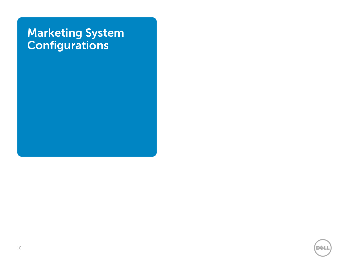#### **Marketing System Configurations**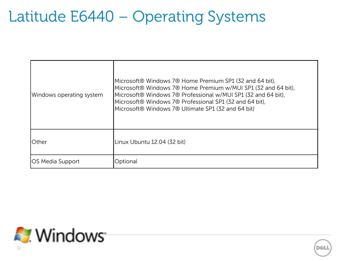## Latitude E6440 – Operating Systems

| Windows operating system | Microsoft® Windows 7® Home Premium SP1 (32 and 64 bit),<br>Microsoft® Windows 7® Home Premium w/MUI SP1 (32 and 64 bit),<br>Microsoft® Windows 7® Professional w/MUI SP1 (32 and 64 bit),<br>Microsoft® Windows 7® Professional SP1 (32 and 64 bit),<br>Microsoft® Windows 7® Ultimate SP1 (32 and 64 bit) |
|--------------------------|------------------------------------------------------------------------------------------------------------------------------------------------------------------------------------------------------------------------------------------------------------------------------------------------------------|
| lOther                   | Linux Ubuntu 12.04 (32 bit)                                                                                                                                                                                                                                                                                |
| <b>JOS Media Support</b> | Optional                                                                                                                                                                                                                                                                                                   |

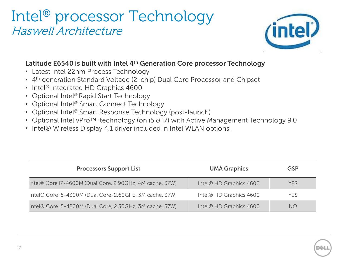#### Intel® processor Technology Haswell Architecture



#### **Latitude E6540 is built with Intel 4th Generation Core processor Technology**

- Latest Intel 22nm Process Technology.
- 4<sup>th</sup> generation Standard Voltage (2-chip) Dual Core Processor and Chipset
- Intel<sup>®</sup> Integrated HD Graphics 4600
- Optional Intel® Rapid Start Technology
- Optional Intel® Smart Connect Technology
- Optional Intel<sup>®</sup> Smart Response Technology (post-launch)
- Optional Intel vPro™ technology (on i5 & i7) with Active Management Technology 9.0
- Intel® Wireless Display 4.1 driver included in Intel WLAN options.

| <b>Processors Support List</b>                           | <b>UMA Graphics</b>                 | <b>GSP</b> |
|----------------------------------------------------------|-------------------------------------|------------|
| Intel® Core i7-4600M (Dual Core, 2.90GHz, 4M cache, 37W) | Intel <sup>®</sup> HD Graphics 4600 | <b>YES</b> |
| Intel® Core i5-4300M (Dual Core, 2.60GHz, 3M cache, 37W) | Intel® HD Graphics 4600             | <b>YES</b> |
| Intel® Core i5-4200M (Dual Core, 2.50GHz, 3M cache, 37W) | Intel <sup>®</sup> HD Graphics 4600 | NO.        |

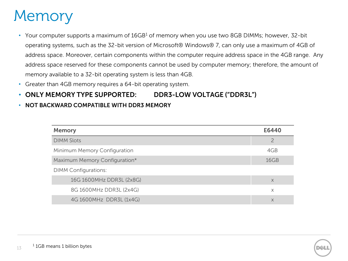### **Memory**

- Your computer supports a maximum of  $16GB<sup>1</sup>$  of memory when you use two 8GB DIMMs; however, 32-bit operating systems, such as the 32-bit version of Microsoft® Windows® 7, can only use a maximum of 4GB of address space. Moreover, certain components within the computer require address space in the 4GB range. Any address space reserved for these components cannot be used by computer memory; therefore, the amount of memory available to a 32-bit operating system is less than 4GB.
- Greater than 4GB memory requires a 64-bit operating system.
- **ONLY MEMORY TYPE SUPPORTED: DDR3-LOW VOLTAGE ("DDR3L")**
- **NOT BACKWARD COMPATIBLE WITH DDR3 MEMORY**

| <b>Memory</b>                 | E6440 |
|-------------------------------|-------|
| <b>DIMM Slots</b>             |       |
| Minimum Memory Configuration  | 4GB   |
| Maximum Memory Configuration* | 16GB  |
| <b>DIMM Configurations:</b>   |       |
| 16G 1600MHz DDR3L (2x8G)      | X     |
| 8G 1600MHz DDR3L (2x4G)       | X     |
| 4G 1600MHz DDR3L (1x4G)       | X     |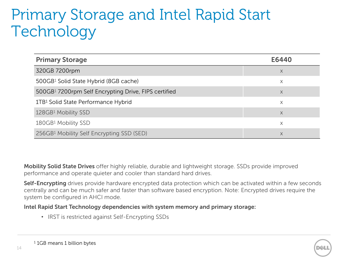## Primary Storage and Intel Rapid Start **Technology**

| <b>Primary Storage</b>                                           | E6440 |
|------------------------------------------------------------------|-------|
| 320GB 7200rpm                                                    | X     |
| 500GB1 Solid State Hybrid (8GB cache)                            | X     |
| 500GB <sup>1</sup> 7200rpm Self Encrypting Drive, FIPS certified | X     |
| 1TB1 Solid State Performance Hybrid                              | X     |
| 128GB1 Mobility SSD                                              | X     |
| 180GB1 Mobility SSD                                              | X     |
| 256GB1 Mobility Self Encrypting SSD (SED)                        | X     |

**Mobility Solid State Drives** offer highly reliable, durable and lightweight storage. SSDs provide improved performance and operate quieter and cooler than standard hard drives.

**Self-Encrypting** drives provide hardware encrypted data protection which can be activated within a few seconds centrally and can be much safer and faster than software based encryption. Note: Encrypted drives require the system be configured in AHCI mode.

**Intel Rapid Start Technology dependencies with system memory and primary storage:**

• IRST is restricted against Self-Encrypting SSDs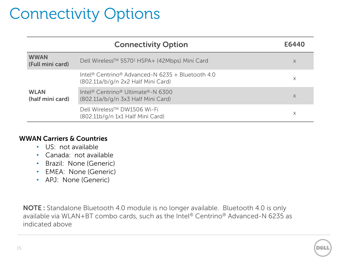# Connectivity Options

|                                 | <b>Connectivity Option</b>                                                             | E6440    |
|---------------------------------|----------------------------------------------------------------------------------------|----------|
| <b>WWAN</b><br>(Full mini card) | Dell Wireless™ 55701 HSPA+ (42Mbps) Mini Card                                          | $\times$ |
|                                 | Intel® Centrino® Advanced-N 6235 + Bluetooth 4.0<br>(802.11a/b/g/n 2x2 Half Mini Card) | X        |
| <b>WLAN</b><br>(half mini card) | Intel® Centrino® Ultimate®-N 6300<br>(802.11a/b/q/n 3x3 Half Mini Card)                | X        |
|                                 | Dell Wireless™ DW1506 Wi-Fi<br>(802.11b/g/n 1x1 Half Mini Card)                        | X        |

#### **WWAN Carriers & Countries**

- US: not available
- Canada: not available
- Brazil: None (Generic)
- EMEA: None (Generic)
- APJ: None (Generic)

**NOTE :** Standalone Bluetooth 4.0 module is no longer available. Bluetooth 4.0 is only available via WLAN+BT combo cards, such as the Intel® Centrino® Advanced-N 6235 as indicated above

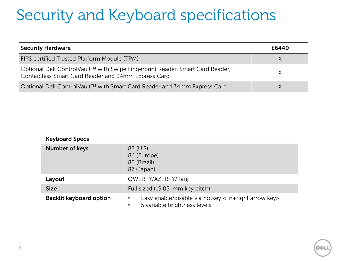# Security and Keyboard specifications

| <b>Security Hardware</b>                                                                                                             | E6440 |
|--------------------------------------------------------------------------------------------------------------------------------------|-------|
| FIPS certified Trusted Platform Module (TPM)                                                                                         |       |
| Optional Dell ControlVault™ with Swipe Fingerprint Reader, Smart Card Reader,<br>Contactless Smart Card Reader and 34mm Express Card |       |
| Optional Dell ControlVault™ with Smart Card Reader and 34mm Express Card                                                             |       |

| <b>Keyboard Specs</b>          |                                                                                                                                                                                           |
|--------------------------------|-------------------------------------------------------------------------------------------------------------------------------------------------------------------------------------------|
| <b>Number of keys</b>          | 83 (U.S)<br>84 (Europe)<br>85 (Brazil)<br>87 (Japan)                                                                                                                                      |
| Layout                         | QWERTY/AZERTY/Kanji                                                                                                                                                                       |
| <b>Size</b>                    | Full sized (19.05-mm key pitch)                                                                                                                                                           |
| <b>Backlit keyboard option</b> | Easy enable/disable via hotkey <fn+right arrow="" key=""><br/><math display="inline">\bullet</math><br/>5 variable brightness levels<br/><math display="inline">\bullet</math></fn+right> |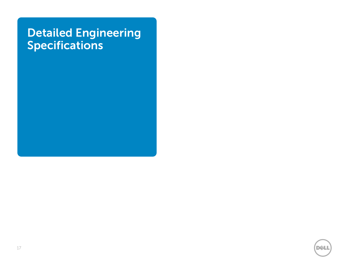#### **Detailed Engineering Specifications**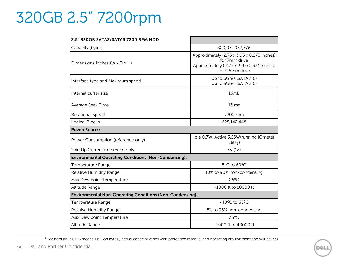## 320GB 2.5" 7200rpm

| 2.5" 320GB SATA2/SATA3 7200 RPM HDD                             |                                                                                                                            |
|-----------------------------------------------------------------|----------------------------------------------------------------------------------------------------------------------------|
| Capacity (bytes)                                                | 320,072,933,376                                                                                                            |
| Dimensions inches (W x D x H)                                   | Approximately (2.75 x 3.95 x 0.278 inches)<br>for 7mm drive<br>Approximately (2.75 x 3.95x0.374 inches)<br>for 9.5mm drive |
| Interface type and Maximum speed                                | Up to 6Gb/s (SATA 3.0)<br>Up to 3Gb/s (SATA 2.0)                                                                           |
| Internal buffer size                                            | <b>16MB</b>                                                                                                                |
| Average Seek Time                                               | $13 \text{ ms}$                                                                                                            |
| Rotational Speed                                                | 7200 rpm                                                                                                                   |
| Logical Blocks                                                  | 625,142,448                                                                                                                |
| <b>Power Source</b>                                             |                                                                                                                            |
| Power Consumption (reference only)                              | Idle 0.7W, Active 3.25W(running IOmeter<br>utility)                                                                        |
| Spin Up Current (reference only)                                | 5V (1A)                                                                                                                    |
| <b>Environmental Operating Conditions (Non-Condensing):</b>     |                                                                                                                            |
| Temperature Range                                               | $5^0C$ to 60 <sup>0</sup> C.                                                                                               |
| Relative Humidity Range                                         | 10% to 90% non-condensing                                                                                                  |
| Max Dew point Temperature                                       | $26^{\circ}$ C                                                                                                             |
| Altitude Range                                                  | -1000 ft to 10000 ft                                                                                                       |
| <b>Environmental Non-Operating Conditions (Non-Condensing):</b> |                                                                                                                            |
| Temperature Range                                               | $-40^{\circ}$ C to 65 $^{\circ}$ C                                                                                         |
| Relative Humidity Range                                         | 5% to 95% non-condensing                                                                                                   |
| Max Dew point Temperature                                       | 33 <sup>0</sup> C                                                                                                          |
| Altitude Range                                                  | $-1000$ ft to 40000 ft                                                                                                     |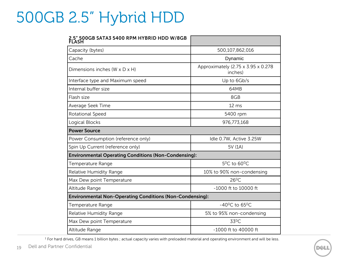## 500GB 2.5" Hybrid HDD

| 2.5" 500GB SATA3 5400 RPM HYBRID HDD W/8GB                      |                                               |
|-----------------------------------------------------------------|-----------------------------------------------|
| Capacity (bytes)                                                | 500,107,862,016                               |
| Cache                                                           | Dynamic                                       |
| Dimensions inches $(W \times D \times H)$                       | Approximately (2.75 x 3.95 x 0.278<br>inches) |
| Interface type and Maximum speed                                | Up to 6Gb/s                                   |
| Internal buffer size                                            | 64MB                                          |
| Flash size                                                      | 8GB                                           |
| Average Seek Time                                               | 12 <sub>ms</sub>                              |
| Rotational Speed                                                | 5400 rpm                                      |
| Logical Blocks                                                  | 976,773,168                                   |
| <b>Power Source</b>                                             |                                               |
| Power Consumption (reference only)                              | Idle 0.7W, Active 3.25W                       |
| Spin Up Current (reference only)                                | 5V (1A)                                       |
| <b>Environmental Operating Conditions (Non-Condensing):</b>     |                                               |
| Temperature Range                                               | $5^0$ C to 60 $^0$ C                          |
| Relative Humidity Range                                         | 10% to 90% non-condensing                     |
| Max Dew point Temperature                                       | $26^{\circ}$ C                                |
| Altitude Range                                                  | -1000 ft to 10000 ft                          |
| <b>Environmental Non-Operating Conditions (Non-Condensing):</b> |                                               |
| Temperature Range                                               | $-40^{\circ}$ C to 65 $^{\circ}$ C            |
| Relative Humidity Range                                         | 5% to 95% non-condensing                      |
| Max Dew point Temperature                                       | $33^0C$                                       |
| Altitude Range                                                  | $-1000$ ft to 40000 ft                        |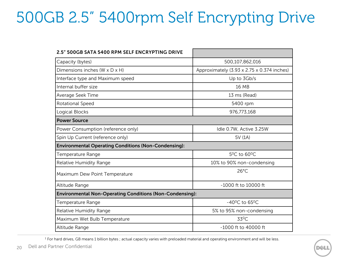# 500GB 2.5" 5400rpm Self Encrypting Drive

| 2.5" 500GB SATA 5400 RPM SELF ENCRYPTING DRIVE                  |                                            |
|-----------------------------------------------------------------|--------------------------------------------|
| Capacity (bytes)                                                | 500,107,862,016                            |
| Dimensions inches (W x D x H)                                   | Approximately (3.93 x 2.75 x 0.374 inches) |
| Interface type and Maximum speed                                | Up to 3Gb/s                                |
| Internal buffer size                                            | 16 MB                                      |
| Average Seek Time                                               | 13 ms (Read)                               |
| Rotational Speed                                                | 5400 rpm                                   |
| Logical Blocks                                                  | 976,773,168                                |
| <b>Power Source</b>                                             |                                            |
| Power Consumption (reference only)                              | Idle 0.7W, Active 3.25W                    |
| Spin Up Current (reference only)                                | 5V (1A)                                    |
| <b>Environmental Operating Conditions (Non-Condensing):</b>     |                                            |
| Temperature Range                                               | $5^0$ C to 60 $^0$ C                       |
| Relative Humidity Range                                         | 10% to 90% non-condensing                  |
| Maximum Dew Point Temperature                                   | $26^{\circ}$ C                             |
| Altitude Range                                                  | -1000 ft to 10000 ft                       |
| <b>Environmental Non-Operating Conditions (Non-Condensing):</b> |                                            |
| Temperature Range                                               | $-40^{\circ}$ C to 65 $^{\circ}$ C         |
| Relative Humidity Range                                         | 5% to 95% non-condensing                   |
| Maximum Wet Bulb Temperature                                    | 33 <sup>0</sup> C                          |
| Altitude Range                                                  | $-1000$ ft to $40000$ ft                   |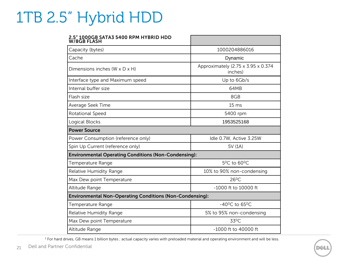## 1TB 2.5" Hybrid HDD

#### **2.5" 1000GB SATA3 5400 RPM HYBRID HDD**

| <b>W/8GB FLASH</b>                                              |                                               |
|-----------------------------------------------------------------|-----------------------------------------------|
| Capacity (bytes)                                                | 1000204886016                                 |
| Cache                                                           | Dynamic                                       |
| Dimensions inches (W x D x H)                                   | Approximately (2.75 x 3.95 x 0.374<br>inches) |
| Interface type and Maximum speed                                | Up to 6Gb/s                                   |
| Internal buffer size                                            | 64MB                                          |
| Flash size                                                      | 8GB                                           |
| Average Seek Time                                               | 15 <sub>ms</sub>                              |
| Rotational Speed                                                | 5400 rpm                                      |
| Logical Blocks                                                  | 1953525168                                    |
| <b>Power Source</b>                                             |                                               |
| Power Consumption (reference only)                              | Idle 0.7W, Active 3.25W                       |
| Spin Up Current (reference only)                                | 5V (1A)                                       |
| <b>Environmental Operating Conditions (Non-Condensing):</b>     |                                               |
| Temperature Range                                               | 5 <sup>0</sup> C to 60 <sup>0</sup> C         |
| Relative Humidity Range                                         | 10% to 90% non-condensing                     |
| Max Dew point Temperature                                       | $26^{\circ}$ C                                |
| Altitude Range                                                  | -1000 ft to 10000 ft                          |
| <b>Environmental Non-Operating Conditions (Non-Condensing):</b> |                                               |
| Temperature Range                                               | $-40^{\circ}$ C to 65 $^{\circ}$ C            |
| Relative Humidity Range                                         | 5% to 95% non-condensing                      |
| Max Dew point Temperature                                       | 33 <sup>0</sup> C                             |
| Altitude Range                                                  | -1000 ft to 40000 ft                          |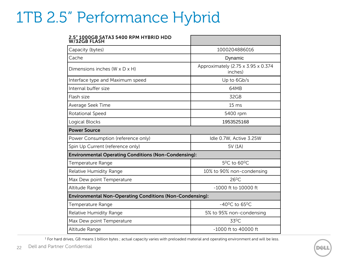### 1TB 2.5" Performance Hybrid

| 2.5" 1000GB SATA3 5400 RPM HYBRID HDD<br>W/32GB FLASH           |                                               |
|-----------------------------------------------------------------|-----------------------------------------------|
| Capacity (bytes)                                                | 1000204886016                                 |
| Cache                                                           | Dynamic                                       |
| Dimensions inches $(W \times D \times H)$                       | Approximately (2.75 x 3.95 x 0.374<br>inches) |
| Interface type and Maximum speed                                | Up to 6Gb/s                                   |
| Internal buffer size                                            | 64MB                                          |
| Flash size                                                      | 32GB                                          |
| Average Seek Time                                               | 15 <sub>ms</sub>                              |
| Rotational Speed                                                | 5400 rpm                                      |
| Logical Blocks                                                  | 1953525168                                    |
| <b>Power Source</b>                                             |                                               |
| Power Consumption (reference only)                              | Idle 0.7W, Active 3.25W                       |
| Spin Up Current (reference only)                                | 5V (1A)                                       |
| <b>Environmental Operating Conditions (Non-Condensing):</b>     |                                               |
| Temperature Range                                               | $5^0$ C to 60 $^0$ C                          |
| Relative Humidity Range                                         | 10% to 90% non-condensing                     |
| Max Dew point Temperature                                       | $26^{\circ}$ C                                |
| Altitude Range                                                  | -1000 ft to 10000 ft                          |
| <b>Environmental Non-Operating Conditions (Non-Condensing):</b> |                                               |
| Temperature Range                                               | $-40^{\circ}$ C to 65 $^{\circ}$ C            |
| Relative Humidity Range                                         | 5% to 95% non-condensing                      |
| Max Dew point Temperature                                       | 33 <sup>0</sup> C                             |
| Altitude Range                                                  | -1000 ft to 40000 ft                          |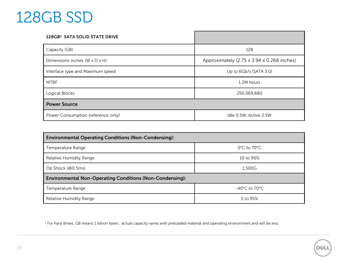### 128GB SSD

| 128GB1 SATA SOLID STATE DRIVE      |                                            |
|------------------------------------|--------------------------------------------|
| Capacity (GB)                      | 128                                        |
| Dimensions inches (W x D x H)      | Approximately (2.75 x 3.94 x 0.268 inches) |
| Interface type and Maximum speed   | Up to $6Gb/s$ (SATA 3.0)                   |
| <b>MTBF</b>                        | 1.2M hours                                 |
| Logical Blocks                     | 250,069,680                                |
| <b>Power Source</b>                |                                            |
| Power Consumption (reference only) | Idle 0.5W, Active 2.5W                     |

| <b>Environmental Operating Conditions (Non-Condensing):</b>     |                                    |  |
|-----------------------------------------------------------------|------------------------------------|--|
| Temperature Range                                               | $0^{\circ}$ C to 70 $^{\circ}$ C   |  |
| Relative Humidity Range                                         | 10 to 90%                          |  |
| Op Shock (@0.5ms)                                               | 1.500G                             |  |
| <b>Environmental Non-Operating Conditions (Non-Condensing):</b> |                                    |  |
| Temperature Range                                               | $-40^{\circ}$ C to 70 $^{\circ}$ C |  |
| Relative Humidity Range                                         | 5 to 95%                           |  |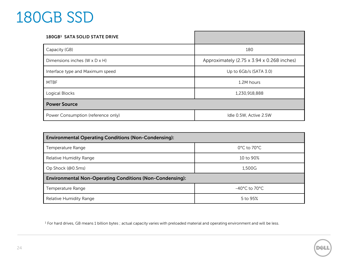## 180GB SSD

| 180GB1 SATA SOLID STATE DRIVE             |                                            |
|-------------------------------------------|--------------------------------------------|
| Capacity (GB)                             | 180                                        |
| Dimensions inches $(W \times D \times H)$ | Approximately (2.75 x 3.94 x 0.268 inches) |
| Interface type and Maximum speed          | Up to $6Gb/s$ (SATA 3.0)                   |
| <b>MTBF</b>                               | 1.2M hours                                 |
| Logical Blocks                            | 1,230,918,888                              |
| <b>Power Source</b>                       |                                            |
| Power Consumption (reference only)        | Idle 0.5W, Active 2.5W                     |

| <b>Environmental Operating Conditions (Non-Condensing):</b>     |                                    |  |
|-----------------------------------------------------------------|------------------------------------|--|
| Temperature Range                                               | $0^{\circ}$ C to 70 $^{\circ}$ C   |  |
| Relative Humidity Range                                         | 10 to $90\%$                       |  |
| Op Shock (@0.5ms)                                               | 1.500G                             |  |
| <b>Environmental Non-Operating Conditions (Non-Condensing):</b> |                                    |  |
| Temperature Range                                               | $-40^{\circ}$ C to 70 $^{\circ}$ C |  |
| Relative Humidity Range                                         | 5 to 95%                           |  |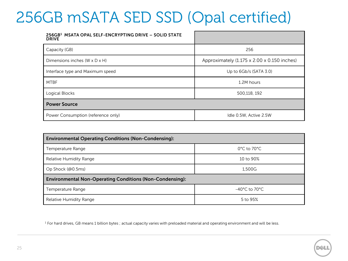## 256GB mSATA SED SSD (Opal certified)

| 256GB <sup>1</sup> MSATA OPAL SELF-ENCRYPTING DRIVE - SOLID STATE<br><b>DRIVE</b> |                                             |
|-----------------------------------------------------------------------------------|---------------------------------------------|
| Capacity (GB)                                                                     | 256                                         |
| Dimensions inches (W x D x H)                                                     | Approximately (1.175 x 2.00 x 0.150 inches) |
| Interface type and Maximum speed                                                  | Up to $6Gb/s$ (SATA 3.0)                    |
| <b>MTBF</b>                                                                       | 1.2M hours                                  |
| Logical Blocks                                                                    | 500,118, 192                                |
| <b>Power Source</b>                                                               |                                             |
| Power Consumption (reference only)                                                | Idle 0.5W, Active 2.5W                      |

| <b>Environmental Operating Conditions (Non-Condensing):</b>     |                                  |  |
|-----------------------------------------------------------------|----------------------------------|--|
| Temperature Range                                               | $0^{\circ}$ C to 70 $^{\circ}$ C |  |
| Relative Humidity Range                                         | 10 to 90%                        |  |
| Op Shock (@0.5ms)                                               | 1,500G                           |  |
| <b>Environmental Non-Operating Conditions (Non-Condensing):</b> |                                  |  |
| Temperature Range                                               | $-40^{\circ}$ C to 70 °C.        |  |
| Relative Humidity Range                                         | 5 to 95%                         |  |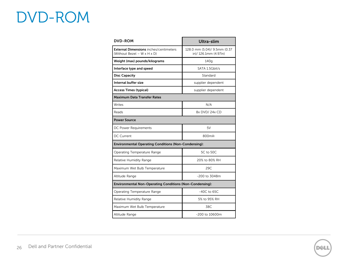### DVD-ROM

| <b>DVD-ROM</b>                                                               | Ultra-slim                                           |  |
|------------------------------------------------------------------------------|------------------------------------------------------|--|
| <b>External Dimensions</b> inches/centimeters<br>(Without Bezel - W x H x D) | 128.0 mm (5.04)/ 9.5mm (0.37<br>in)/126.1mm (4.97in) |  |
| Weight (max) pounds/kilograms                                                | 140q                                                 |  |
| Interface type and speed                                                     | SATA 1.5Gbit/s                                       |  |
| <b>Disc Capacity</b>                                                         | Standard                                             |  |
| Internal buffer size                                                         | supplier dependent                                   |  |
| <b>Access Times (typical)</b>                                                | supplier dependent                                   |  |
| <b>Maximum Data Transfer Rates</b>                                           |                                                      |  |
| Writes                                                                       | N/A                                                  |  |
| Reads                                                                        | 8x DVD/24x CD                                        |  |
| <b>Power Source</b>                                                          |                                                      |  |
| DC Power Requirements                                                        | 5V                                                   |  |
| <b>DC Current</b>                                                            | 800mA                                                |  |
| <b>Environmental Operating Conditions (Non-Condensing):</b>                  |                                                      |  |
| Operating Temperature Range                                                  | 5C to 50C                                            |  |
| Relative Humidity Range                                                      | 20% to 80% RH                                        |  |
| Maximum Wet Bulb Temperature                                                 | 29C                                                  |  |
| Altitude Range                                                               | -200 to 3048m                                        |  |
| Environmental Non-Operating Conditions (Non-Condensing):                     |                                                      |  |
| Operating Temperature Range                                                  | $-40C$ to 65C                                        |  |
| Relative Humidity Range                                                      | 5% to 95% RH                                         |  |
| Maximum Wet Bulb Temperature                                                 | 38C                                                  |  |
| Altitude Range                                                               | -200 to 10600m                                       |  |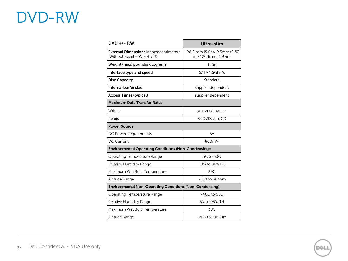## DVD-RW

| $DVD +/- RW_1$                                                                            | Ultra-slim                                           |  |
|-------------------------------------------------------------------------------------------|------------------------------------------------------|--|
| <b>External Dimensions</b> inches/centimeters<br>(Without Bezel – $W \times H \times D$ ) | 128.0 mm (5.04)/ 9.5mm (0.37<br>in)/126.1mm (4.97in) |  |
| Weight (max) pounds/kilograms                                                             | 140 <sub>g</sub>                                     |  |
| Interface type and speed                                                                  | SATA 1.5Gbit/s                                       |  |
| <b>Disc Capacity</b>                                                                      | Standard                                             |  |
| Internal buffer size                                                                      | supplier dependent                                   |  |
| <b>Access Times (typical)</b>                                                             | supplier dependent                                   |  |
| <b>Maximum Data Transfer Rates</b>                                                        |                                                      |  |
| Writes                                                                                    | 8x DVD / 24x CD                                      |  |
| Reads                                                                                     | 8x DVD/24x CD                                        |  |
| <b>Power Source</b>                                                                       |                                                      |  |
| DC Power Requirements                                                                     | 5V                                                   |  |
| <b>DC Current</b>                                                                         | 800mA <sup>2</sup>                                   |  |
| <b>Environmental Operating Conditions (Non-Condensing):</b>                               |                                                      |  |
| Operating Temperature Range                                                               | 5C to 50C                                            |  |
| <b>Relative Humidity Range</b>                                                            | 20% to 80% RH                                        |  |
| Maximum Wet Bulb Temperature                                                              | 29C                                                  |  |
| Altitude Range                                                                            | -200 to 3048m                                        |  |
| Environmental Non-Operating Conditions (Non-Condensing):                                  |                                                      |  |
| <b>Operating Temperature Range</b>                                                        | $-40C$ to 65C                                        |  |
| <b>Relative Humidity Range</b>                                                            | 5% to 95% RH                                         |  |
| Maximum Wet Bulb Temperature                                                              | 38C                                                  |  |
| Altitude Range                                                                            | $-200$ to 10600m                                     |  |

**DØLI**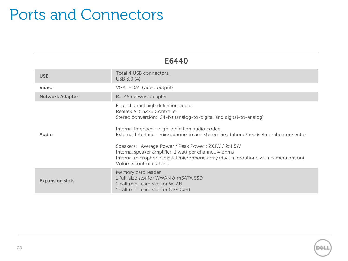#### Ports and Connectors

| E6440                  |                                                                                                                                                                                                                                                                                                                                                                                                                                                                                                                  |  |
|------------------------|------------------------------------------------------------------------------------------------------------------------------------------------------------------------------------------------------------------------------------------------------------------------------------------------------------------------------------------------------------------------------------------------------------------------------------------------------------------------------------------------------------------|--|
| <b>USB</b>             | Total 4 USB connectors.<br>USB 3.0 (4)                                                                                                                                                                                                                                                                                                                                                                                                                                                                           |  |
| Video                  | VGA, HDMI (video output)                                                                                                                                                                                                                                                                                                                                                                                                                                                                                         |  |
| <b>Network Adapter</b> | RJ-45 network adapter                                                                                                                                                                                                                                                                                                                                                                                                                                                                                            |  |
| <b>Audio</b>           | Four channel high definition audio<br>Realtek ALC3226 Controller<br>Stereo conversion: 24-bit (analog-to-digital and digital-to-analog)<br>Internal Interface - high-definition audio codec.<br>External Interface - microphone-in and stereo headphone/headset combo connector<br>Speakers: Average Power / Peak Power: 2X1W / 2x1.5W<br>Internal speaker amplifier: 1 watt per channel, 4 ohms<br>Internal microphone: digital microphone array (dual microphone with camera option)<br>Volume control buttons |  |
| <b>Expansion slots</b> | Memory card reader<br>1 full-size slot for WWAN & mSATA SSD<br>1 half mini-card slot for WLAN<br>1 half mini-card slot for GPE Card                                                                                                                                                                                                                                                                                                                                                                              |  |

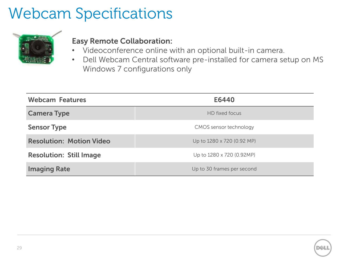### Webcam Specifications



#### **Easy Remote Collaboration:**

- Videoconference online with an optional built-in camera.
- Dell Webcam Central software pre-installed for camera setup on MS Windows 7 configurations only

| <b>Webcam Features</b>          | E6440                      |
|---------------------------------|----------------------------|
| <b>Camera Type</b>              | HD fixed focus             |
| <b>Sensor Type</b>              | CMOS sensor technology     |
| <b>Resolution: Motion Video</b> | Up to 1280 x 720 (0.92 MP) |
| <b>Resolution: Still Image</b>  | Up to 1280 x 720 (0.92MP)  |
| <b>Imaging Rate</b>             | Up to 30 frames per second |

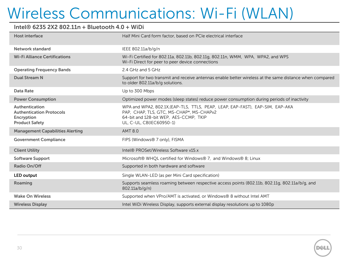#### **Intel® 6235 2X2 802.11n + Bluetooth 4.0 + WiDi**

| <b>Host interface</b>                                                                    | Half Mini Card form factor, based on PCIe electrical interface                                                                                                                                  |
|------------------------------------------------------------------------------------------|-------------------------------------------------------------------------------------------------------------------------------------------------------------------------------------------------|
| Network standard                                                                         | IEEE 802.11a/b/g/n                                                                                                                                                                              |
| <b>Wi-Fi Alliance Certifications</b>                                                     | Wi-Fi Certified for 802.11a, 802.11b, 802.11g, 802.11n, WMM, WPA, WPA2, and WPS<br>Wi-Fi Direct for peer to peer device connections                                                             |
| <b>Operating Frequency Bands</b>                                                         | 2.4 GHz and 5 GHz                                                                                                                                                                               |
| <b>Dual Stream N</b>                                                                     | Support for two transmit and receive antennas enable better wireless at the same distance when compared<br>to older 802.11a/b/g solutions.                                                      |
| Data Rate                                                                                | Up to 300 Mbps                                                                                                                                                                                  |
| <b>Power Consumption</b>                                                                 | Optimized power modes (sleep states) reduce power consumption during periods of inactivity                                                                                                      |
| Authentication<br><b>Authentication Protocols</b><br>Encryption<br><b>Product Safety</b> | WPA and WPA2, 802.1X, (EAP-TLS, TTLS, PEAP, LEAP, EAP-FAST), EAP-SIM, EAP-AKA<br>PAP, CHAP, TLS, GTC, MS-CHAP*, MS-CHAPv2<br>64-bit and 128-bit WEP, AES-CCMP, TKIP<br>UL, C-UL, CB(IEC60950-1) |
| <b>Management Capabilities Alerting</b>                                                  | <b>AMT 8.0</b>                                                                                                                                                                                  |
| <b>Government Compliance</b>                                                             | FIPS (Windows® 7 only), FISMA                                                                                                                                                                   |
| <b>Client Utility</b>                                                                    | Intel® PROSet/Wireless Software v15.x                                                                                                                                                           |
| <b>Software Support</b>                                                                  | Microsoft® WHQL certified for Windows® 7, and Windows® 8; Linux                                                                                                                                 |
| Radio On/Off                                                                             | Supported in both hardware and software                                                                                                                                                         |
| <b>LED output</b>                                                                        | Single WLAN-LED (as per Mini Card specification)                                                                                                                                                |
| Roaming                                                                                  | Supports seamless roaming between respective access points (802.11b, 802.11g, 802.11a/b/g, and<br>802.11a/b/g/n)                                                                                |
| <b>Wake On Wireless</b>                                                                  | Supported when VPro/AMT is activated, or Windows® 8 without Intel AMT                                                                                                                           |
| <b>Wireless Display</b>                                                                  | Intel WiDi Wireless Display, supports external display resolutions up to 1080p                                                                                                                  |
|                                                                                          |                                                                                                                                                                                                 |

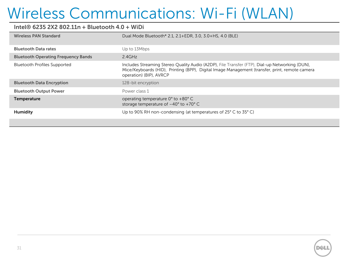#### **Intel® 6235 2X2 802.11n + Bluetooth 4.0 + WiDi**

| <b>Wireless PAN Standard</b>               | Dual Mode Bluetooth* 2.1, 2.1+EDR, 3.0, 3.0+HS, 4.0 (BLE)                                                                                                                                                                   |
|--------------------------------------------|-----------------------------------------------------------------------------------------------------------------------------------------------------------------------------------------------------------------------------|
| <b>Bluetooth Data rates</b>                | Up to 13Mbps                                                                                                                                                                                                                |
| <b>Bluetooth Operating Frequency Bands</b> | 2.4GHz                                                                                                                                                                                                                      |
| <b>Bluetooth Profiles Supported</b>        | Includes Streaming Stereo Quality Audio (A2DP), File Transfer (FTP), Dial-up Networking (DUN),<br>Mice/Keyboards (HID), Printing (BPP), Digital Image Management (transfer, print, remote camera<br>operation) (BIP), AVRCP |
| <b>Bluetooth Data Encryption</b>           | 128-bit encryption                                                                                                                                                                                                          |
| <b>Bluetooth Output Power</b>              | Power class 1                                                                                                                                                                                                               |
| Temperature                                | operating temperature 0° to +80° C<br>storage temperature of $-40^{\circ}$ to $+70^{\circ}$ C                                                                                                                               |
| <b>Humidity</b>                            | Up to 90% RH non-condensing (at temperatures of 25° C to 35° C)                                                                                                                                                             |
|                                            |                                                                                                                                                                                                                             |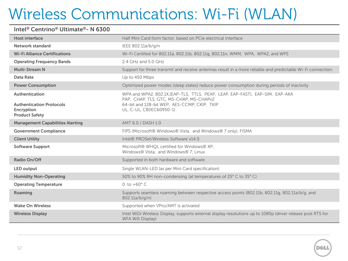#### **Intel® Centrino® Ultimate®- N 6300**

| <b>Host interface</b>                                                                    | Half Mini Card form factor, based on PCIe electrical interface                                                                                                                                       |
|------------------------------------------------------------------------------------------|------------------------------------------------------------------------------------------------------------------------------------------------------------------------------------------------------|
| Network standard                                                                         | IEEE 802.11a/b/g/n                                                                                                                                                                                   |
| <b>Wi-Fi Alliance Certifications</b>                                                     | Wi-Fi Certified for 802.11a, 802.11b, 802.11g, 802.11n, WMM, WPA, WPA2, and WPS                                                                                                                      |
| <b>Operating Frequency Bands</b>                                                         | 2.4 GHz and 5.0 GHz                                                                                                                                                                                  |
| <b>Multi-Stream N</b>                                                                    | Support for three transmit and receive antennas result in a more reliable and predictable Wi-Fi connection.                                                                                          |
| <b>Data Rate</b>                                                                         | Up to 450 Mbps                                                                                                                                                                                       |
| <b>Power Consumption</b>                                                                 | Optimized power modes (sleep states) reduce power consumption during periods of inactivity                                                                                                           |
| Authentication<br><b>Authentication Protocols</b><br>Encryption<br><b>Product Safety</b> | WPA and WPA2, 802.1X, (EAP-TLS, TTLS, PEAP, LEAP, EAP-FAST), EAP-SIM, EAP-AKA<br>PAP, CHAP, TLS, GTC, MS-CHAP, MS-CHAPv2<br>64-bit and 128-bit WEP, AES-CCMP, CKIP, TKIP<br>UL, C-UL, CB(IEC60950-1) |
| <b>Management Capabilities Alerting</b>                                                  | AMT 6.0 / DASH 1.0                                                                                                                                                                                   |
| <b>Government Compliance</b>                                                             | FIPS (Microsoft® Windows® Vista, and Windows® 7 only), FISMA                                                                                                                                         |
| <b>Client Utility</b>                                                                    | Intel® PROSet/Wireless Software v14.0                                                                                                                                                                |
| <b>Software Support</b>                                                                  | Microsoft® WHQL certified for Windows® XP,<br>Windows® Vista, and Windows® 7; Linux                                                                                                                  |
| Radio On/Off                                                                             | Supported in both hardware and software                                                                                                                                                              |
| <b>LED output</b>                                                                        | Single WLAN-LED (as per Mini Card specification)                                                                                                                                                     |
| <b>Humidity Non-Operating</b>                                                            | 50% to 90% RH non-condensing (at temperatures of 25° C to 35° C)                                                                                                                                     |
| <b>Operating Temperature</b>                                                             | 0 to $+60^{\circ}$ C                                                                                                                                                                                 |
| Roaming                                                                                  | Supports seamless roaming between respective access points (802.11b, 802.11g, 802.11a/b/g, and<br>802.11a/b/g/n)                                                                                     |
| <b>Wake On Wireless</b>                                                                  | Supported when VPro/AMT is activated                                                                                                                                                                 |
| <b>Wireless Display</b>                                                                  | Intel WiDi Wireless Display, supports external display resolutions up to 1080p (driver release post RTS for<br>WFA Wifi Display)                                                                     |

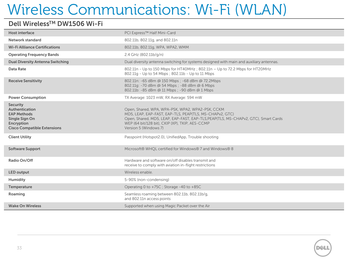#### **Dell WirelessTM DW1506 Wi-Fi**

| Host interface                                                                                                                | PCI Express™ Half Mini-Card                                                                                                                                                                                                                                                   |
|-------------------------------------------------------------------------------------------------------------------------------|-------------------------------------------------------------------------------------------------------------------------------------------------------------------------------------------------------------------------------------------------------------------------------|
| <b>Network standard</b>                                                                                                       | 802.11b, 802.11g, and 802.11n                                                                                                                                                                                                                                                 |
| <b>Wi-Fi Allliance Certifications</b>                                                                                         | 802.11b, 802.11g, WPA, WPA2, WMM                                                                                                                                                                                                                                              |
| <b>Operating Frequency Bands</b>                                                                                              | 2.4 GHz (802.11b/g/n)                                                                                                                                                                                                                                                         |
| <b>Dual Diversity Antenna Switching</b>                                                                                       | Dual diversity antenna switching for systems designed with main and auxiliary antennas.                                                                                                                                                                                       |
| Data Rate                                                                                                                     | 802.11n - Up to 150 Mbps for HT40MHz ; 802.11n - Up to 72.2 Mbps for HT20MHz<br>802.11g - Up to 54 Mbps ; 802.11b - Up to 11 Mbps                                                                                                                                             |
| <b>Receive Sensitivity</b>                                                                                                    | 802.11n: -65 dBm @ 150 Mbps ; -68 dBm @ 72.2Mbps<br>802.11g: -70 dBm @ 54 Mbps ; -88 dBm @ 6 Mbps<br>802.11b: -85 dBm @ 11 Mbps ; -90 dBm @ 1 Mbps                                                                                                                            |
| <b>Power Consumption</b>                                                                                                      | TX Average: 1023 mW, RX Average: 594 mW                                                                                                                                                                                                                                       |
| <b>Security</b><br>Authentication<br><b>EAP Methods</b><br>Single Sign On<br>Encryption<br><b>Cisco Compatible Extensions</b> | Open, Shared, WPA, WPA-PSK, WPA2, WPA2-PSK, CCKM<br>MD5, LEAP, EAP-FAST, EAP-TLS, PEAP(TLS, MS-CHAPv2, GTC)<br>Open, Shared, MD5, LEAP, EAP-FAST, EAP-TLS, PEAP(TLS, MS-CHAPv2, GTC), Smart Cards<br>WEP (64 bit/128 bit), CKIP (XP), TKIP, AES-CCMP<br>Version 5 (Windows 7) |
| <b>Client Utility</b>                                                                                                         | Passpoint (Hotspot2.0), UnifiedApp, Trouble shooting                                                                                                                                                                                                                          |
| <b>Software Support</b>                                                                                                       | Microsoft® WHQL certified for Windows® 7 and Windows® 8                                                                                                                                                                                                                       |
| Radio On/Off                                                                                                                  | Hardware and software on/off disables transmit and<br>receive to comply with aviation in-flight restrictions                                                                                                                                                                  |
| LED output                                                                                                                    | Wireless enable.                                                                                                                                                                                                                                                              |
| Humidity                                                                                                                      | 5-90% (non-condensing)                                                                                                                                                                                                                                                        |
| Temperature                                                                                                                   | Operating 0 to +75C; Storage -40 to +85C                                                                                                                                                                                                                                      |
| Roaming                                                                                                                       | Seamless roaming between 802.11b, 802.11b/g,<br>and 802.11n access points                                                                                                                                                                                                     |
| <b>Wake On Wireless</b>                                                                                                       | Supported when using Magic Packet over the Air                                                                                                                                                                                                                                |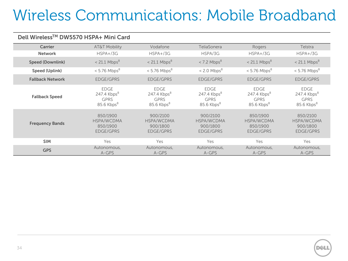# Wireless Communications: Mobile Broadband

#### **Dell WirelessTM DW5570 HSPA+ Mini Card**

| Carrier                 | <b>AT&amp;T Mobility</b>                                              | Vodafone                                                      | <b>TeliaSonera</b>                                                    | Rogers                                                        | Telstra                                                               |
|-------------------------|-----------------------------------------------------------------------|---------------------------------------------------------------|-----------------------------------------------------------------------|---------------------------------------------------------------|-----------------------------------------------------------------------|
| <b>Network</b>          | $HSPA+}/3G$                                                           | $HSPA+}/3G$                                                   | HSPA/3G                                                               | $HSPA+}/3G$                                                   | $HSPA+ / 3G$                                                          |
| <b>Speed (Downlink)</b> | $< 21.1$ Mbps <sup>8</sup>                                            | $< 21.1$ Mbps <sup>8</sup>                                    | $<$ 7.2 Mbps <sup>8</sup>                                             | $< 21.1$ Mbps <sup>8</sup>                                    | $< 21.1$ Mbps <sup>8</sup>                                            |
| <b>Speed (Uplink)</b>   | $< 5.76$ Mbps <sup>8</sup>                                            | $< 5.76$ Mbps <sup>8</sup>                                    | $< 2.0$ Mbps <sup>8</sup>                                             | $< 5.76$ Mbps <sup>8</sup>                                    | $< 5.76$ Mbps <sup>8</sup>                                            |
| <b>Fallback Network</b> | <b>EDGE/GPRS</b>                                                      | <b>EDGE/GPRS</b>                                              | <b>EDGE/GPRS</b>                                                      | <b>EDGE/GPRS</b>                                              | <b>EDGE/GPRS</b>                                                      |
| <b>Fallback Speed</b>   | <b>EDGE</b><br>247.4 $Kbps8$<br><b>GPRS</b><br>85.6 Kbps <sup>8</sup> | EDGE<br>247.4 $Kbps8$<br><b>GPRS</b><br>$85.6$ Kbps $8$       | <b>EDGE</b><br>247.4 $Kbps8$<br><b>GPRS</b><br>85.6 Kbps <sup>8</sup> | EDGE<br>247.4 $Kbps8$<br><b>GPRS</b><br>$85.6$ Kbps $8$       | <b>EDGE</b><br>247.4 $Kbps8$<br><b>GPRS</b><br>85.6 Kbps <sup>8</sup> |
| <b>Frequency Bands</b>  | 850/1900<br><b>HSPA/WCDMA</b><br>850/1900<br>EDGE/GPRS                | 900/2100<br><b>HSPA/WCDMA</b><br>900/1800<br><b>EDGE/GPRS</b> | 900/2100<br><b>HSPA/WCDMA</b><br>900/1800<br><b>EDGE/GPRS</b>         | 850/1900<br><b>HSPA/WCDMA</b><br>850/1900<br><b>EDGE/GPRS</b> | 850/2100<br><b>HSPA/WCDMA</b><br>900/1800<br><b>EDGE/GPRS</b>         |
| <b>SIM</b>              | Yes                                                                   | Yes                                                           | Yes                                                                   | Yes                                                           | Yes                                                                   |
| <b>GPS</b>              | Autonomous,<br>A-GPS                                                  | Autonomous,<br>A-GPS                                          | Autonomous,<br>A-GPS                                                  | Autonomous,<br>A-GPS                                          | Autonomous,<br>A-GPS                                                  |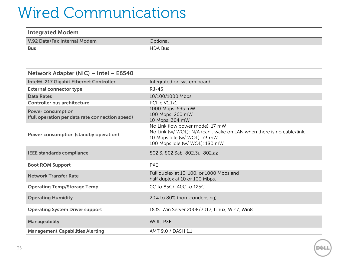### Wired Communications

| <b>Integrated Modem</b>      |                |
|------------------------------|----------------|
| V.92 Data/Fax Internal Modem | Optional       |
| Bus                          | <b>HDA Bus</b> |

| Network Adapter (NIC) - Intel - E6540                                       |                                                                                                                                                                            |
|-----------------------------------------------------------------------------|----------------------------------------------------------------------------------------------------------------------------------------------------------------------------|
| Intel® I217 Gigabit Ethernet Controller                                     | Integrated on system board                                                                                                                                                 |
| <b>External connector type</b>                                              | RJ-45                                                                                                                                                                      |
| <b>Data Rates</b>                                                           | 10/100/1000 Mbps                                                                                                                                                           |
| <b>Controller bus architecture</b>                                          | <b>PCI-e V1.1x1</b>                                                                                                                                                        |
| <b>Power consumption</b><br>(full operation per data rate connection speed) | 1000 Mbps: 535 mW<br>100 Mbps: 260 mW<br>10 Mbps: 304 mW                                                                                                                   |
| Power consumption (standby operation)                                       | No Link (low power mode): 17 mW<br>No Link (w/ WOL): N/A (can't wake on LAN when there is no cable/link)<br>10 Mbps Idle (w/ WOL): 73 mW<br>100 Mbps Idle (w/ WOL): 180 mW |
| <b>IEEE standards compliance</b>                                            | 802.3, 802.3ab, 802.3u, 802.az                                                                                                                                             |
| <b>Boot ROM Support</b>                                                     | <b>PXE</b>                                                                                                                                                                 |
| <b>Network Transfer Rate</b>                                                | Full duplex at 10, 100, or 1000 Mbps and<br>half duplex at 10 or 100 Mbps.                                                                                                 |
| <b>Operating Temp/Storage Temp</b>                                          | 0C to 85C/-40C to 125C                                                                                                                                                     |
| <b>Operating Humidity</b>                                                   | 20% to 80% (non-condensing)                                                                                                                                                |
| <b>Operating System Driver support</b>                                      | DOS, Win Server 2008/2012, Linux, Win7, Win8                                                                                                                               |
| <b>Manageability</b>                                                        | WOL, PXE                                                                                                                                                                   |
| <b>Management Capabilities Alerting</b>                                     | AMT 9.0 / DASH 1.1                                                                                                                                                         |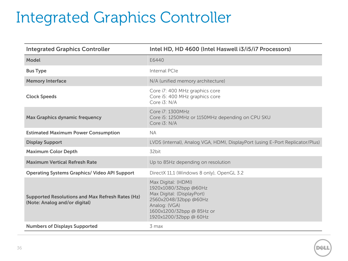# Integrated Graphics Controller

| <b>Integrated Graphics Controller</b>                                                    | Intel HD, HD 4600 (Intel Haswell i3/i5/i7 Processors)                                                                                                                       |
|------------------------------------------------------------------------------------------|-----------------------------------------------------------------------------------------------------------------------------------------------------------------------------|
| <b>Model</b>                                                                             | E6440                                                                                                                                                                       |
| <b>Bus Type</b>                                                                          | Internal PCIe                                                                                                                                                               |
| <b>Memory Interface</b>                                                                  | N/A (unified memory architecture)                                                                                                                                           |
| <b>Clock Speeds</b>                                                                      | Core i7: 400 MHz graphics core<br>Core i5: 400 MHz graphics core<br>Core i3: N/A                                                                                            |
| <b>Max Graphics dynamic frequency</b>                                                    | Core i7: 1300MHz<br>Core i5: 1250MHz or 1150MHz depending on CPU SKU<br>Core i3: N/A                                                                                        |
| <b>Estimated Maximum Power Consumption</b>                                               | <b>NA</b>                                                                                                                                                                   |
| <b>Display Support</b>                                                                   | LVDS (internal), Analog VGA, HDMI, DisplayPort (using E-Port Replicator/Plus)                                                                                               |
| <b>Maximum Color Depth</b>                                                               | 32bit                                                                                                                                                                       |
| <b>Maximum Vertical Refresh Rate</b>                                                     | Up to 85Hz depending on resolution                                                                                                                                          |
| <b>Operating Systems Graphics/ Video API Support</b>                                     | DirectX 11,1 (Windows 8 only), OpenGL 3.2                                                                                                                                   |
| <b>Supported Resolutions and Max Refresh Rates (Hz)</b><br>(Note: Analog and/or digital) | Max Digital: (HDMI)<br>1920x1080/32bpp @60Hz<br>Max Digital: (DisplayPort)<br>2560x2048/32bpp @60Hz<br>Analog: (VGA)<br>1600x1200/32bpp @ 85Hz or<br>1920x1200/32bpp @ 60Hz |
| <b>Numbers of Displays Supported</b>                                                     | 3 max                                                                                                                                                                       |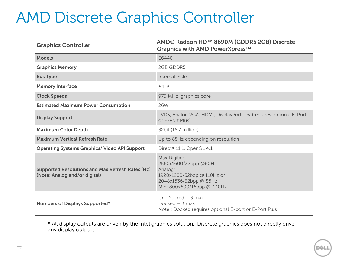### AMD Discrete Graphics Controller

| <b>Graphics Controller</b>                                                               | AMD® Radeon HD™ 8690M (GDDR5 2GB) Discrete<br>Graphics with AMD PowerXpress™                                                           |
|------------------------------------------------------------------------------------------|----------------------------------------------------------------------------------------------------------------------------------------|
| <b>Models</b>                                                                            | E6440                                                                                                                                  |
| <b>Graphics Memory</b>                                                                   | 2GB GDDR5                                                                                                                              |
| <b>Bus Type</b>                                                                          | Internal PCIe                                                                                                                          |
| <b>Memory Interface</b>                                                                  | $64 - Bit$                                                                                                                             |
| <b>Clock Speeds</b>                                                                      | 975 MHz graphics core                                                                                                                  |
| <b>Estimated Maximum Power Consumption</b>                                               | 26W                                                                                                                                    |
| <b>Display Support</b>                                                                   | LVDS, Analog VGA, HDMI, DisplayPort, DVI(requires optional E-Port<br>or E-Port Plus)                                                   |
| <b>Maximum Color Depth</b>                                                               | 32bit (16.7 million)                                                                                                                   |
| <b>Maximum Vertical Refresh Rate</b>                                                     | Up to 85Hz depending on resolution                                                                                                     |
| <b>Operating Systems Graphics/ Video API Support</b>                                     | DirectX 11.1, OpenGL 4.1                                                                                                               |
| <b>Supported Resolutions and Max Refresh Rates (Hz)</b><br>(Note: Analog and/or digital) | Max Digital:<br>2560x1600/32bpp @60Hz<br>Analog:<br>1920x1200/32bpp @ 110Hz or<br>2048x1536/32bpp @ 85Hz<br>Min: 800x600/16bpp @ 440Hz |
| Numbers of Displays Supported*                                                           | Un-Docked $-$ 3 max<br>Docked $-$ 3 max<br>Note: Docked requires optional E-port or E-Port Plus                                        |

\* All display outputs are driven by the Intel graphics solution. Discrete graphics does not directly drive any display outputs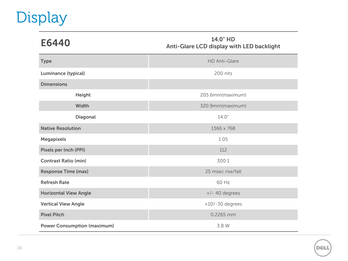# Display

| E6440                        | 14.0" HD<br>Anti-Glare LCD display with LED backlight |
|------------------------------|-------------------------------------------------------|
| <b>Type</b>                  | <b>HD Anti-Glare</b>                                  |
| Luminance (typical)          | 200 nits                                              |
| <b>Dimensions</b>            |                                                       |
| Height                       | 205.6mm(maximum)                                      |
| Width                        | 320.9mm(maximum)                                      |
| Diagonal                     | 14.0''                                                |
| <b>Native Resolution</b>     | 1366 x 768                                            |
| <b>Megapixels</b>            | 1.05                                                  |
| <b>Pixels per Inch (PPI)</b> | 112                                                   |
| <b>Contrast Ratio (min)</b>  | 300:1                                                 |
| <b>Response Time (max)</b>   | 25 msec rise/fall                                     |
| <b>Refresh Rate</b>          | 60 Hz                                                 |
| <b>Horizontal View Angle</b> | $+/- 40$ degrees                                      |
| <b>Vertical View Angle</b>   | $+10/-30$ degrees                                     |
| <b>Pixel Pitch</b>           | 0.2265 mm                                             |

**Power Consumption (maximum)** 3.8 W

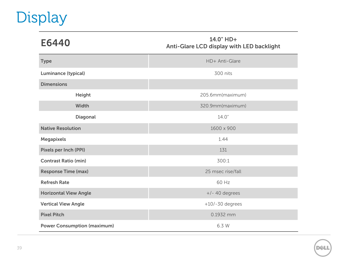# Display

| E6440                              | 14.0" HD+<br>Anti-Glare LCD display with LED backlight |
|------------------------------------|--------------------------------------------------------|
| <b>Type</b>                        | HD+ Anti-Glare                                         |
| <b>Luminance (typical)</b>         | 300 nits                                               |
| <b>Dimensions</b>                  |                                                        |
| Height                             | 205.6mm(maximum)                                       |
| Width                              | 320.9mm(maximum)                                       |
| Diagonal                           | 14.0"                                                  |
| <b>Native Resolution</b>           | 1600 x 900                                             |
| <b>Megapixels</b>                  | 1.44                                                   |
| Pixels per Inch (PPI)              | 131                                                    |
| <b>Contrast Ratio (min)</b>        | 300:1                                                  |
| <b>Response Time (max)</b>         | 25 msec rise/fall                                      |
| <b>Refresh Rate</b>                | 60 Hz                                                  |
| <b>Horizontal View Angle</b>       | $+/- 40$ degrees                                       |
| <b>Vertical View Angle</b>         | $+10/-30$ degrees                                      |
| <b>Pixel Pitch</b>                 | 0.1932 mm                                              |
| <b>Power Consumption (maximum)</b> | 6.3 W                                                  |

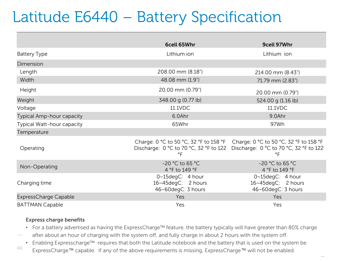## Latitude E6440 – Battery Specification

|                            | 6cell 65Whr                                                  | 9cell 97Whr                                                                                                                                                          |  |
|----------------------------|--------------------------------------------------------------|----------------------------------------------------------------------------------------------------------------------------------------------------------------------|--|
| <b>Battery Type</b>        | Lithium ion                                                  | Lithium ion                                                                                                                                                          |  |
| Dimension                  |                                                              |                                                                                                                                                                      |  |
| Length                     | 208.00 mm (8.18")                                            | 214.00 mm (8.43")                                                                                                                                                    |  |
| Width                      | 48.08 mm (1.9")                                              | 71.79 mm (2.83")                                                                                                                                                     |  |
| Height                     | 20.00 mm (0.79")                                             | 20.00 mm (0.79")                                                                                                                                                     |  |
| Weight                     | 348.00 g (0.77 lb)                                           | 524.00 g (1.16 lb)                                                                                                                                                   |  |
| Voltage                    | 11.1VDC                                                      | 11.1VDC                                                                                                                                                              |  |
| Typical Amp-hour capacity  | 6.0Ahr                                                       | 9.0Ahr                                                                                                                                                               |  |
| Typical Watt-hour capacity | 65Whr                                                        | 97Wh                                                                                                                                                                 |  |
| Temperature                |                                                              |                                                                                                                                                                      |  |
| Operating                  | °F                                                           | Charge: 0 °C to 50 °C, 32 °F to 158 °F Charge: 0 °C to 50 °C, 32 °F to 158 °F<br>Discharge: 0 °C to 70 °C, 32 °F to 122 Discharge: 0 °C to 70 °C, 32 °F to 122<br>°F |  |
| Non-Operating              | -20 °C to 65 °C<br>4 °F to 149 °F                            | -20 °C to 65 °C<br>4 °F to 149 °F                                                                                                                                    |  |
| Charging time              | 0~15degC: 4 hour<br>16~45degC: 2 hours<br>46~60degC: 3 hours | 0~15degC: 4 hour<br>16~45degC: 2 hours<br>46~60degC: 3 hours                                                                                                         |  |
| ExpressCharge Capable      | Yes                                                          | Yes                                                                                                                                                                  |  |
| <b>BATTMAN Capable</b>     | Yes                                                          | Yes                                                                                                                                                                  |  |

#### **Express charge benefits**

- For a battery advertised as having the ExpressCharge™ feature, the battery typically will have greater than 80% charge
- after about an hour of charging with the system off, and fully charge in about 2 hours with the system off.
- Enabling Expresscharge™ requires that both the Latitude notebook and the battery that is used on the system be
- $^{40}$  ExpressCharge™ capable. If any of the above requirements is missing, ExpressCharge™ will not be enabled.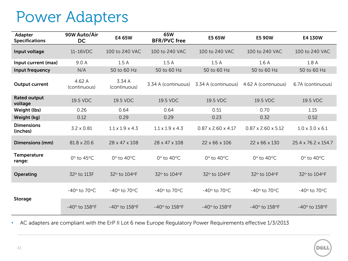#### Power Adapters

| Adapter<br><b>Specifications</b> | 90W Auto/Air<br><b>DC</b>   | E4 65W                       | 65W<br><b>BFR/PVC free</b>   | E5 65W                         | <b>E5 90W</b>                  | E4 130W                      |
|----------------------------------|-----------------------------|------------------------------|------------------------------|--------------------------------|--------------------------------|------------------------------|
| Input voltage                    | 11-16VDC                    | 100 to 240 VAC               | 100 to 240 VAC               | 100 to 240 VAC                 | 100 to 240 VAC                 | 100 to 240 VAC               |
| Input current (max)              | 9.0 A                       | 1.5A                         | 1.5A                         | 1.5A                           | 1.6A                           | 1.8A                         |
| Input frequency                  | N/A                         | 50 to 60 Hz                  | 50 to 60 Hz                  | 50 to 60 Hz                    | 50 to 60 Hz                    | 50 to 60 Hz                  |
| <b>Output current</b>            | 4.62 A<br>(continuous)      | 3.34 A<br>(continuous)       | 3.34 A (continuous)          | 3.34 A (continuous)            | 4.62 A (continuous)            | 6.7A (continuous)            |
| <b>Rated output</b><br>voltage   | 19.5 VDC                    | 19.5 VDC                     | 19.5 VDC                     | 19.5 VDC                       | 19.5 VDC                       | 19.5 VDC                     |
| Weight (lbs)                     | 0.26                        | 0.64                         | 0.64                         | 0.51                           | 0.70                           | 1.15                         |
| Weight (kg)                      | 0.12                        | 0.29                         | 0.29                         | 0.23                           | 0.32                           | 0.52                         |
| <b>Dimensions</b><br>(inches)    | $3.2 \times 0.81$           | $1.1 \times 1.9 \times 4.3$  | $1.1 \times 1.9 \times 4.3$  | $0.87 \times 2.60 \times 4.17$ | $0.87 \times 2.60 \times 5.12$ | $1.0 \times 3.0 \times 6.1$  |
| Dimensions (mm)                  | 81.8 x 20.6                 | 28 x 47 x 108                | 28 x 47 x 108                | 22 x 66 x 106                  | 22 x 66 x 130                  | 25.4 x 76.2 x 154.7          |
| Temperature<br>range:            | $0^\circ$ to 45 $\circ$ C   | $0^\circ$ to 40 $^\circ$ C   | $0^\circ$ to 40 $^\circ$ C   | $0^\circ$ to 40 $^\circ$ C     | $0^\circ$ to 40 $^\circ$ C     | $0^\circ$ to 40 $^\circ$ C   |
| Operating                        | 32° to 113F                 | 32° to 104°F                 | 32° to 104°F                 | 32° to 104°F                   | 32° to 104°F                   | 32° to 104°F                 |
|                                  | $-40^\circ$ to 70 $\circ$ C | $-40^\circ$ to 70 $\circ$ C  | $-40^\circ$ to 70 $\circ$ C  | $-40^\circ$ to 70 $\circ$ C    | $-40^\circ$ to 70 $\circ$ C    | $-40^\circ$ to 70 $\circ$ C  |
| <b>Storage</b>                   | -40° to 158°F               | $-40^\circ$ to 158 $\circ$ F | $-40^\circ$ to 158 $\circ$ F | $-40^\circ$ to 158 $\circ$ F   | $-40^\circ$ to 158 $\circ$ F   | $-40^\circ$ to 158 $\circ$ F |

• AC adapters are compliant with the ErP II Lot 6 new Europe Regulatory Power Requirements effective 1/3/2013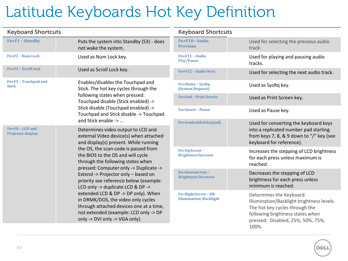## Latitude Keyboards Hot Key Definition

| <b>Keyboard Shortcuts</b>                       |                                                                                                                                                                                                 | <b>Keyboard</b>                               |
|-------------------------------------------------|-------------------------------------------------------------------------------------------------------------------------------------------------------------------------------------------------|-----------------------------------------------|
| $Fn+F1 - Standby$                               | Puts the system into Standby (S3) - does<br>not wake the system.                                                                                                                                | $Fn + F10 - Aud$<br><b>Previous</b>           |
| Fn+F2 - Num Lock                                | Used as Num Lock key.                                                                                                                                                                           | Fn+F11 - Audio<br><b>Play/Pause</b>           |
| <b>Fn+F3 - Scroll lock</b>                      | Used as Scroll Lock key.                                                                                                                                                                        | Fn+F12 - Audio                                |
| Fn+F5 - Touchpad and<br><b>Stick</b>            | Enables/disables the Touchpad and<br>Stick. The hot key cycles through the<br>following states when pressed:                                                                                    | Fn+Home-Sys<br><b>(System Reque)</b>          |
|                                                 | Touchpad disable (Stick enabled) ->                                                                                                                                                             | <b>Fn+End - Print</b>                         |
|                                                 | Stick disable (Touchpad enabled) -><br>Touchpad and Stick disable -> Touchpad                                                                                                                   | Fn+Insert - Pau                               |
|                                                 | and Stick enable ->                                                                                                                                                                             | Fn+(embedded                                  |
| $Fn + F8 - LCD$ and<br><b>Projector display</b> | Determines video output to LCD and<br>external Video device(s) when attached<br>and display(s) present. While running                                                                           |                                               |
|                                                 | the OS, the scan-code is passed from<br>the BIOS to the OS and will cycle<br>through the following states when                                                                                  | Fn+UpArrow-<br><b>Brightness Incr</b>         |
|                                                 | pressed: Computer only -> Duplicate -><br>Extend -> Projector only - based on<br>priority see reference below (example:<br>LCD only -> duplicate LCD & DP ->                                    | <b>Fn+DownArroy</b><br><b>Brightness Dec</b>  |
|                                                 | extended LCD & DP -> DP only). When<br>in DRMK/DOS, the video only cycles<br>through attached devices one at a time,<br>not extended (example: LCD only -> DP<br>only -> DVI only -> VGA only). | <b>Fn+RightArrow</b><br><b>Illumination/B</b> |

#### **Shortcuts**

| Fn+F10-Audio<br><b>Previous</b>                            | Used for selecting the previous audio<br>track                                                                                                                                           |
|------------------------------------------------------------|------------------------------------------------------------------------------------------------------------------------------------------------------------------------------------------|
| Fn+F11 - Audio<br><b>Play/Pause</b>                        | Used for playing and pausing audio<br>tracks.                                                                                                                                            |
| <b>Fn+F12 - Audio Next</b>                                 | Used for selecting the next audio track.                                                                                                                                                 |
| <b>Fn+Home-SysRq</b><br>(System Request)                   | Used as SysRq key.                                                                                                                                                                       |
| <b>Fn+End - Print Screen</b>                               | Used as Print Screen key.                                                                                                                                                                |
| <b>Fn+Insert - Pause</b>                                   | Used as Pause key.                                                                                                                                                                       |
| Fn+(embedded keypad)                                       | Used for converting the keyboard keys<br>into a replicated number pad starting<br>from keys 7, 8, & 9 down to "/" key (see<br>keyboard for reference).                                   |
| Fn+UpArrow-<br><b>Brightness Increase</b>                  | Increases the stepping of LCD brightness<br>for each press unless maximum is<br>reached.                                                                                                 |
| Fn+DownArrow-<br><b>Brightness Decrease</b>                | Decreases the stepping of LCD<br>brightness for each press unless<br>minimum is reached.                                                                                                 |
| <b>Fn+RightArrow - KB</b><br><b>Illumination/Backlight</b> | Determines the Keyboard<br>Illumination/Backlight brightness levels.<br>The hot key cycles through the<br>following brightness states when<br>pressed: Disabled, 25%, 50%, 75%,<br>100%. |

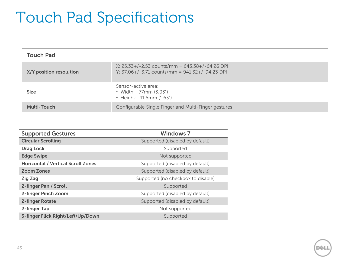## Touch Pad Specifications

| <b>Touch Pad</b>        |                                                                                                        |  |
|-------------------------|--------------------------------------------------------------------------------------------------------|--|
| X/Y position resolution | $X: 25.33+/-2.53$ counts/mm = 643.38+/-64.26 DPI<br>Y: $37.06+/-3.71$ counts/mm = $941.32+/-94.23$ DPI |  |
| <b>Size</b>             | Sensor-active area:<br>• Width: 77mm (3.03")<br>• Height: 41.5mm (1.63")                               |  |
| <b>Multi-Touch</b>      | Configurable Single Finger and Multi-Finger gestures                                                   |  |

| <b>Supported Gestures</b>                 | <b>Windows 7</b>                   |
|-------------------------------------------|------------------------------------|
| <b>Circular Scrolling</b>                 | Supported (disabled by default)    |
| <b>Drag Lock</b>                          | Supported                          |
| <b>Edge Swipe</b>                         | Not supported                      |
| <b>Horizontal / Vertical Scroll Zones</b> | Supported (disabled by default)    |
| <b>Zoom Zones</b>                         | Supported (disabled by default)    |
| <b>Zig Zag</b>                            | Supported (no checkbox to disable) |
| 2-finger Pan / Scroll                     | Supported                          |
| 2-finger Pinch Zoom                       | Supported (disabled by default)    |
| 2-finger Rotate                           | Supported (disabled by default)    |
| 2-finger Tap                              | Not supported                      |
| 3-finger Flick Right/Left/Up/Down         | Supported                          |